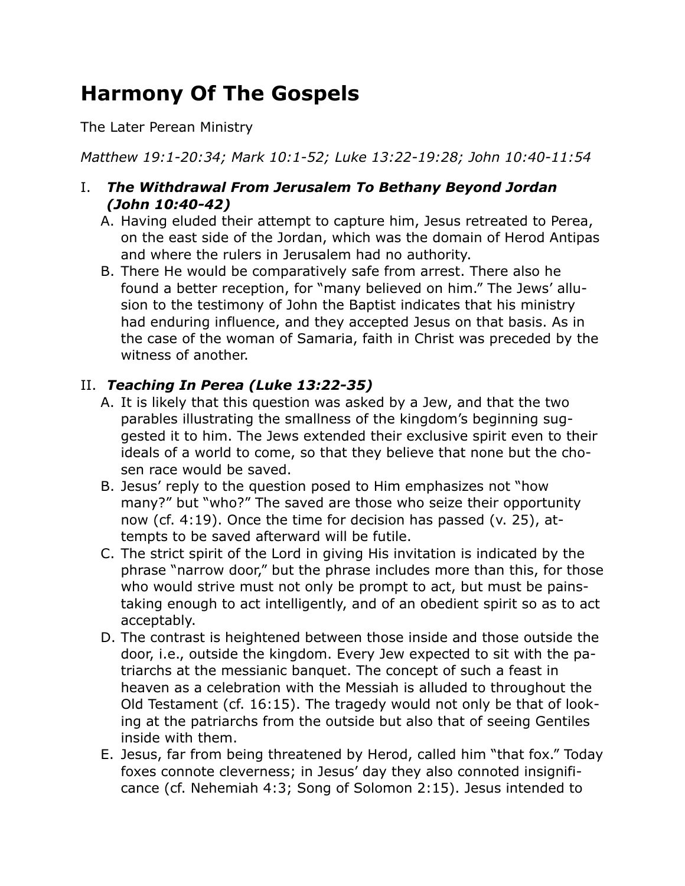# **Harmony Of The Gospels**

The Later Perean Ministry

*Matthew 19:1-20:34; Mark 10:1-52; Luke 13:22-19:28; John 10:40-11:54*

## I. *The Withdrawal From Jerusalem To Bethany Beyond Jordan (John 10:40-42)*

- A. Having eluded their attempt to capture him, Jesus retreated to Perea, on the east side of the Jordan, which was the domain of Herod Antipas and where the rulers in Jerusalem had no authority.
- B. There He would be comparatively safe from arrest. There also he found a better reception, for "many believed on him." The Jews' allusion to the testimony of John the Baptist indicates that his ministry had enduring influence, and they accepted Jesus on that basis. As in the case of the woman of Samaria, faith in Christ was preceded by the witness of another.

# II. *Teaching In Perea (Luke 13:22-35)*

- A. It is likely that this question was asked by a Jew, and that the two parables illustrating the smallness of the kingdom's beginning suggested it to him. The Jews extended their exclusive spirit even to their ideals of a world to come, so that they believe that none but the chosen race would be saved.
- B. Jesus' reply to the question posed to Him emphasizes not "how many?" but "who?" The saved are those who seize their opportunity now (cf. 4:19). Once the time for decision has passed (v. 25), attempts to be saved afterward will be futile.
- C. The strict spirit of the Lord in giving His invitation is indicated by the phrase "narrow door," but the phrase includes more than this, for those who would strive must not only be prompt to act, but must be painstaking enough to act intelligently, and of an obedient spirit so as to act acceptably.
- D. The contrast is heightened between those inside and those outside the door, i.e., outside the kingdom. Every Jew expected to sit with the patriarchs at the messianic banquet. The concept of such a feast in heaven as a celebration with the Messiah is alluded to throughout the Old Testament (cf. 16:15). The tragedy would not only be that of looking at the patriarchs from the outside but also that of seeing Gentiles inside with them.
- E. Jesus, far from being threatened by Herod, called him "that fox." Today foxes connote cleverness; in Jesus' day they also connoted insignificance (cf. Nehemiah 4:3; Song of Solomon 2:15). Jesus intended to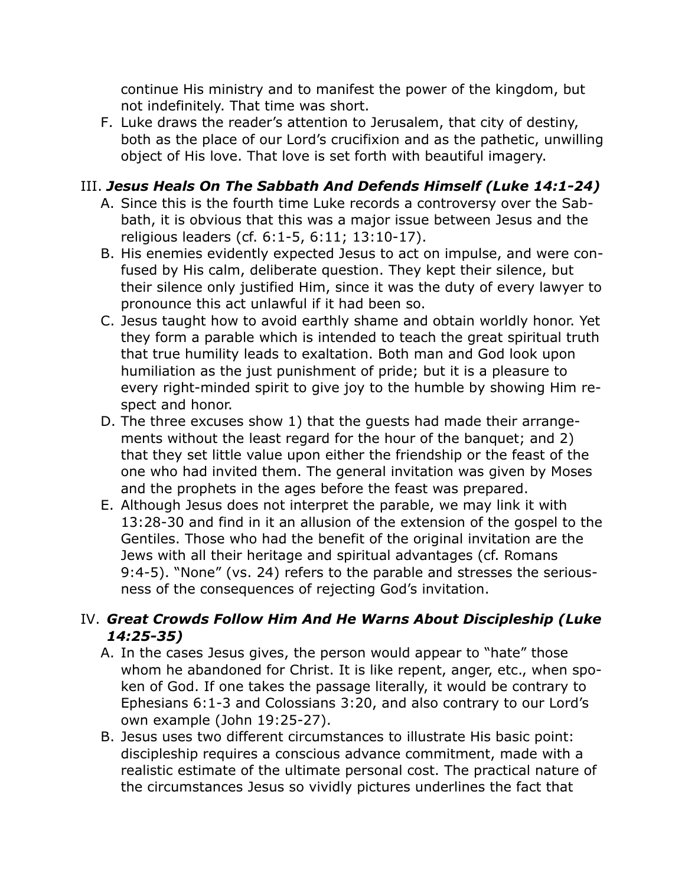continue His ministry and to manifest the power of the kingdom, but not indefinitely. That time was short.

F. Luke draws the reader's attention to Jerusalem, that city of destiny, both as the place of our Lord's crucifixion and as the pathetic, unwilling object of His love. That love is set forth with beautiful imagery.

# III. *Jesus Heals On The Sabbath And Defends Himself (Luke 14:1-24)*

- A. Since this is the fourth time Luke records a controversy over the Sabbath, it is obvious that this was a major issue between Jesus and the religious leaders (cf. 6:1-5, 6:11; 13:10-17).
- B. His enemies evidently expected Jesus to act on impulse, and were confused by His calm, deliberate question. They kept their silence, but their silence only justified Him, since it was the duty of every lawyer to pronounce this act unlawful if it had been so.
- C. Jesus taught how to avoid earthly shame and obtain worldly honor. Yet they form a parable which is intended to teach the great spiritual truth that true humility leads to exaltation. Both man and God look upon humiliation as the just punishment of pride; but it is a pleasure to every right-minded spirit to give joy to the humble by showing Him respect and honor.
- D. The three excuses show 1) that the guests had made their arrangements without the least regard for the hour of the banquet; and 2) that they set little value upon either the friendship or the feast of the one who had invited them. The general invitation was given by Moses and the prophets in the ages before the feast was prepared.
- E. Although Jesus does not interpret the parable, we may link it with 13:28-30 and find in it an allusion of the extension of the gospel to the Gentiles. Those who had the benefit of the original invitation are the Jews with all their heritage and spiritual advantages (cf. Romans 9:4-5). "None" (vs. 24) refers to the parable and stresses the seriousness of the consequences of rejecting God's invitation.

# IV. *Great Crowds Follow Him And He Warns About Discipleship (Luke 14:25-35)*

- A. In the cases Jesus gives, the person would appear to "hate" those whom he abandoned for Christ. It is like repent, anger, etc., when spoken of God. If one takes the passage literally, it would be contrary to Ephesians 6:1-3 and Colossians 3:20, and also contrary to our Lord's own example (John 19:25-27).
- B. Jesus uses two different circumstances to illustrate His basic point: discipleship requires a conscious advance commitment, made with a realistic estimate of the ultimate personal cost. The practical nature of the circumstances Jesus so vividly pictures underlines the fact that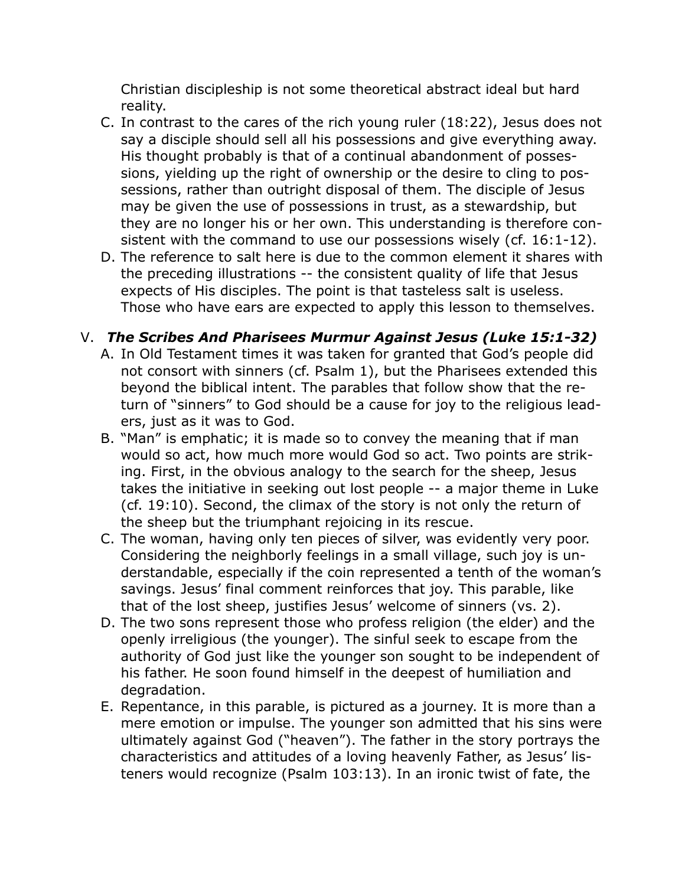Christian discipleship is not some theoretical abstract ideal but hard reality.

- C. In contrast to the cares of the rich young ruler (18:22), Jesus does not say a disciple should sell all his possessions and give everything away. His thought probably is that of a continual abandonment of possessions, yielding up the right of ownership or the desire to cling to possessions, rather than outright disposal of them. The disciple of Jesus may be given the use of possessions in trust, as a stewardship, but they are no longer his or her own. This understanding is therefore consistent with the command to use our possessions wisely (cf. 16:1-12).
- D. The reference to salt here is due to the common element it shares with the preceding illustrations -- the consistent quality of life that Jesus expects of His disciples. The point is that tasteless salt is useless. Those who have ears are expected to apply this lesson to themselves.

## V. *The Scribes And Pharisees Murmur Against Jesus (Luke 15:1-32)*

- A. In Old Testament times it was taken for granted that God's people did not consort with sinners (cf. Psalm 1), but the Pharisees extended this beyond the biblical intent. The parables that follow show that the return of "sinners" to God should be a cause for joy to the religious leaders, just as it was to God.
- B. "Man" is emphatic; it is made so to convey the meaning that if man would so act, how much more would God so act. Two points are striking. First, in the obvious analogy to the search for the sheep, Jesus takes the initiative in seeking out lost people -- a major theme in Luke (cf. 19:10). Second, the climax of the story is not only the return of the sheep but the triumphant rejoicing in its rescue.
- C. The woman, having only ten pieces of silver, was evidently very poor. Considering the neighborly feelings in a small village, such joy is understandable, especially if the coin represented a tenth of the woman's savings. Jesus' final comment reinforces that joy. This parable, like that of the lost sheep, justifies Jesus' welcome of sinners (vs. 2).
- D. The two sons represent those who profess religion (the elder) and the openly irreligious (the younger). The sinful seek to escape from the authority of God just like the younger son sought to be independent of his father. He soon found himself in the deepest of humiliation and degradation.
- E. Repentance, in this parable, is pictured as a journey. It is more than a mere emotion or impulse. The younger son admitted that his sins were ultimately against God ("heaven"). The father in the story portrays the characteristics and attitudes of a loving heavenly Father, as Jesus' listeners would recognize (Psalm 103:13). In an ironic twist of fate, the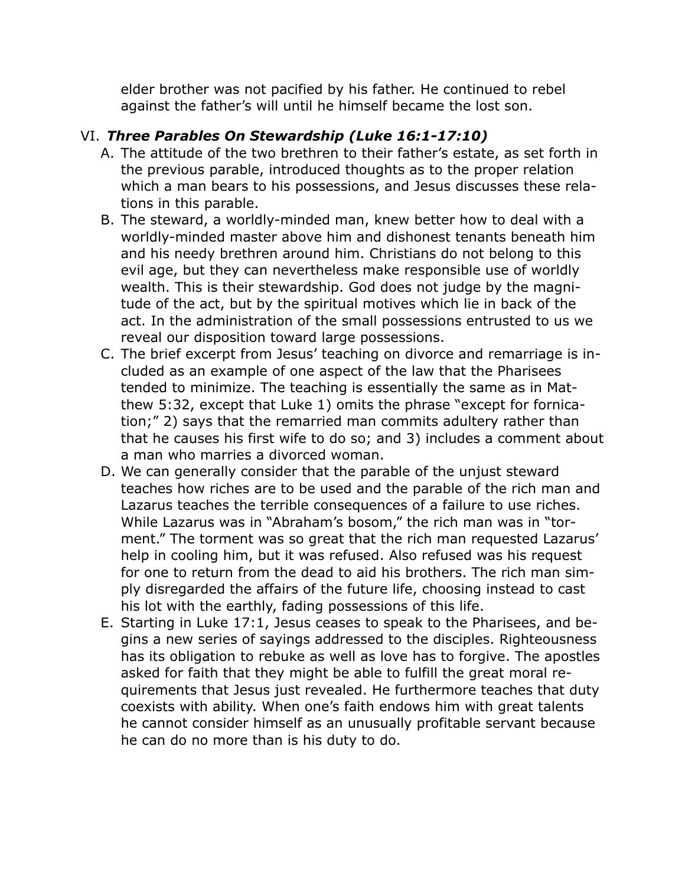elder brother was not pacified by his father. He continued to rebel against the father's will until he himself became the lost son.

# VI. *Three Parables On Stewardship (Luke 16:1-17:10)*

- A. The attitude of the two brethren to their father's estate, as set forth in the previous parable, introduced thoughts as to the proper relation which a man bears to his possessions, and Jesus discusses these relations in this parable.
- B. The steward, a worldly-minded man, knew better how to deal with a worldly-minded master above him and dishonest tenants beneath him and his needy brethren around him. Christians do not belong to this evil age, but they can nevertheless make responsible use of worldly wealth. This is their stewardship. God does not judge by the magnitude of the act, but by the spiritual motives which lie in back of the act. In the administration of the small possessions entrusted to us we reveal our disposition toward large possessions.
- C. The brief excerpt from Jesus' teaching on divorce and remarriage is included as an example of one aspect of the law that the Pharisees tended to minimize. The teaching is essentially the same as in Matthew 5:32, except that Luke 1) omits the phrase "except for fornication;" 2) says that the remarried man commits adultery rather than that he causes his first wife to do so; and 3) includes a comment about a man who marries a divorced woman.
- D. We can generally consider that the parable of the unjust steward teaches how riches are to be used and the parable of the rich man and Lazarus teaches the terrible consequences of a failure to use riches. While Lazarus was in "Abraham's bosom," the rich man was in "torment." The torment was so great that the rich man requested Lazarus' help in cooling him, but it was refused. Also refused was his request for one to return from the dead to aid his brothers. The rich man simply disregarded the affairs of the future life, choosing instead to cast his lot with the earthly, fading possessions of this life.
- E. Starting in Luke 17:1, Jesus ceases to speak to the Pharisees, and begins a new series of sayings addressed to the disciples. Righteousness has its obligation to rebuke as well as love has to forgive. The apostles asked for faith that they might be able to fulfill the great moral requirements that Jesus just revealed. He furthermore teaches that duty coexists with ability. When one's faith endows him with great talents he cannot consider himself as an unusually profitable servant because he can do no more than is his duty to do.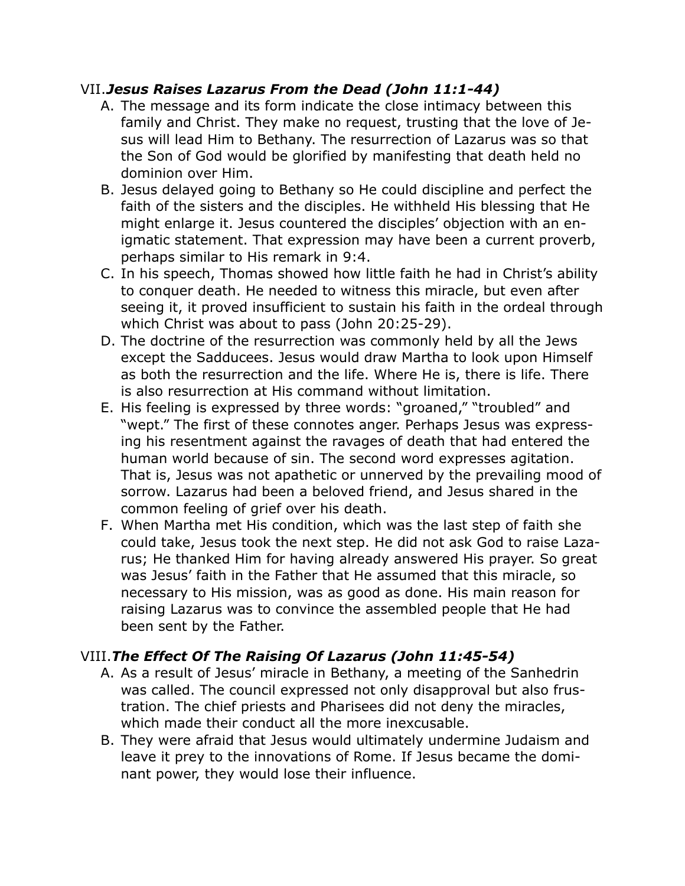#### VII.*Jesus Raises Lazarus From the Dead (John 11:1-44)*

- A. The message and its form indicate the close intimacy between this family and Christ. They make no request, trusting that the love of Jesus will lead Him to Bethany. The resurrection of Lazarus was so that the Son of God would be glorified by manifesting that death held no dominion over Him.
- B. Jesus delayed going to Bethany so He could discipline and perfect the faith of the sisters and the disciples. He withheld His blessing that He might enlarge it. Jesus countered the disciples' objection with an enigmatic statement. That expression may have been a current proverb, perhaps similar to His remark in 9:4.
- C. In his speech, Thomas showed how little faith he had in Christ's ability to conquer death. He needed to witness this miracle, but even after seeing it, it proved insufficient to sustain his faith in the ordeal through which Christ was about to pass (John 20:25-29).
- D. The doctrine of the resurrection was commonly held by all the Jews except the Sadducees. Jesus would draw Martha to look upon Himself as both the resurrection and the life. Where He is, there is life. There is also resurrection at His command without limitation.
- E. His feeling is expressed by three words: "groaned," "troubled" and "wept." The first of these connotes anger. Perhaps Jesus was expressing his resentment against the ravages of death that had entered the human world because of sin. The second word expresses agitation. That is, Jesus was not apathetic or unnerved by the prevailing mood of sorrow. Lazarus had been a beloved friend, and Jesus shared in the common feeling of grief over his death.
- F. When Martha met His condition, which was the last step of faith she could take, Jesus took the next step. He did not ask God to raise Lazarus; He thanked Him for having already answered His prayer. So great was Jesus' faith in the Father that He assumed that this miracle, so necessary to His mission, was as good as done. His main reason for raising Lazarus was to convince the assembled people that He had been sent by the Father.

# VIII.*The Effect Of The Raising Of Lazarus (John 11:45-54)*

- A. As a result of Jesus' miracle in Bethany, a meeting of the Sanhedrin was called. The council expressed not only disapproval but also frustration. The chief priests and Pharisees did not deny the miracles, which made their conduct all the more inexcusable.
- B. They were afraid that Jesus would ultimately undermine Judaism and leave it prey to the innovations of Rome. If Jesus became the dominant power, they would lose their influence.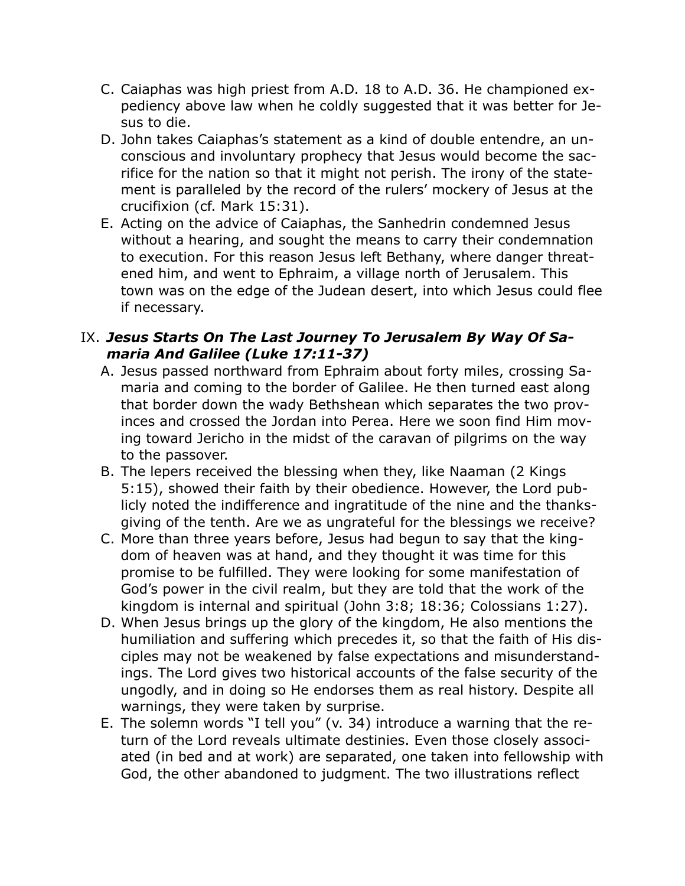- C. Caiaphas was high priest from A.D. 18 to A.D. 36. He championed expediency above law when he coldly suggested that it was better for Jesus to die.
- D. John takes Caiaphas's statement as a kind of double entendre, an unconscious and involuntary prophecy that Jesus would become the sacrifice for the nation so that it might not perish. The irony of the statement is paralleled by the record of the rulers' mockery of Jesus at the crucifixion (cf. Mark 15:31).
- E. Acting on the advice of Caiaphas, the Sanhedrin condemned Jesus without a hearing, and sought the means to carry their condemnation to execution. For this reason Jesus left Bethany, where danger threatened him, and went to Ephraim, a village north of Jerusalem. This town was on the edge of the Judean desert, into which Jesus could flee if necessary.

#### IX. *Jesus Starts On The Last Journey To Jerusalem By Way Of Samaria And Galilee (Luke 17:11-37)*

- A. Jesus passed northward from Ephraim about forty miles, crossing Samaria and coming to the border of Galilee. He then turned east along that border down the wady Bethshean which separates the two provinces and crossed the Jordan into Perea. Here we soon find Him moving toward Jericho in the midst of the caravan of pilgrims on the way to the passover.
- B. The lepers received the blessing when they, like Naaman (2 Kings 5:15), showed their faith by their obedience. However, the Lord publicly noted the indifference and ingratitude of the nine and the thanksgiving of the tenth. Are we as ungrateful for the blessings we receive?
- C. More than three years before, Jesus had begun to say that the kingdom of heaven was at hand, and they thought it was time for this promise to be fulfilled. They were looking for some manifestation of God's power in the civil realm, but they are told that the work of the kingdom is internal and spiritual (John 3:8; 18:36; Colossians 1:27).
- D. When Jesus brings up the glory of the kingdom, He also mentions the humiliation and suffering which precedes it, so that the faith of His disciples may not be weakened by false expectations and misunderstandings. The Lord gives two historical accounts of the false security of the ungodly, and in doing so He endorses them as real history. Despite all warnings, they were taken by surprise.
- E. The solemn words "I tell you" (v. 34) introduce a warning that the return of the Lord reveals ultimate destinies. Even those closely associated (in bed and at work) are separated, one taken into fellowship with God, the other abandoned to judgment. The two illustrations reflect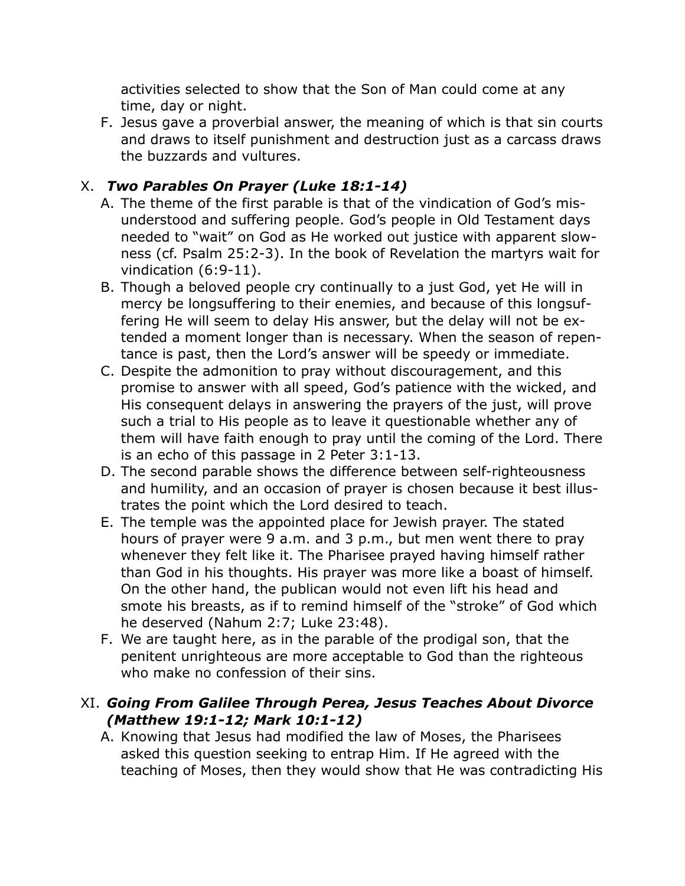activities selected to show that the Son of Man could come at any time, day or night.

F. Jesus gave a proverbial answer, the meaning of which is that sin courts and draws to itself punishment and destruction just as a carcass draws the buzzards and vultures.

# X. *Two Parables On Prayer (Luke 18:1-14)*

- A. The theme of the first parable is that of the vindication of God's misunderstood and suffering people. God's people in Old Testament days needed to "wait" on God as He worked out justice with apparent slowness (cf. Psalm 25:2-3). In the book of Revelation the martyrs wait for vindication (6:9-11).
- B. Though a beloved people cry continually to a just God, yet He will in mercy be longsuffering to their enemies, and because of this longsuffering He will seem to delay His answer, but the delay will not be extended a moment longer than is necessary. When the season of repentance is past, then the Lord's answer will be speedy or immediate.
- C. Despite the admonition to pray without discouragement, and this promise to answer with all speed, God's patience with the wicked, and His consequent delays in answering the prayers of the just, will prove such a trial to His people as to leave it questionable whether any of them will have faith enough to pray until the coming of the Lord. There is an echo of this passage in 2 Peter 3:1-13.
- D. The second parable shows the difference between self-righteousness and humility, and an occasion of prayer is chosen because it best illustrates the point which the Lord desired to teach.
- E. The temple was the appointed place for Jewish prayer. The stated hours of prayer were 9 a.m. and 3 p.m., but men went there to pray whenever they felt like it. The Pharisee prayed having himself rather than God in his thoughts. His prayer was more like a boast of himself. On the other hand, the publican would not even lift his head and smote his breasts, as if to remind himself of the "stroke" of God which he deserved (Nahum 2:7; Luke 23:48).
- F. We are taught here, as in the parable of the prodigal son, that the penitent unrighteous are more acceptable to God than the righteous who make no confession of their sins.

## XI. *Going From Galilee Through Perea, Jesus Teaches About Divorce (Matthew 19:1-12; Mark 10:1-12)*

A. Knowing that Jesus had modified the law of Moses, the Pharisees asked this question seeking to entrap Him. If He agreed with the teaching of Moses, then they would show that He was contradicting His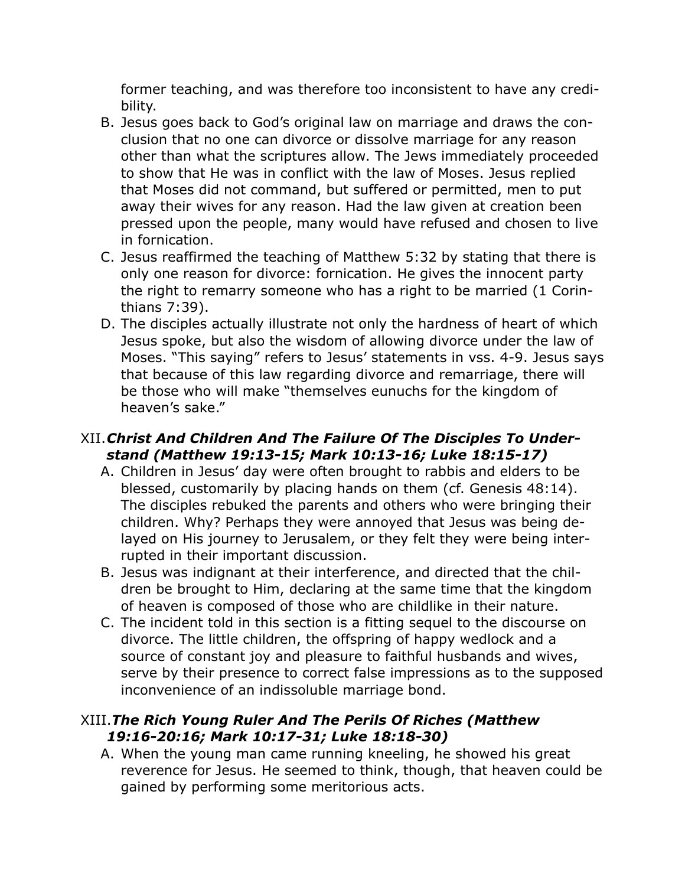former teaching, and was therefore too inconsistent to have any credibility.

- B. Jesus goes back to God's original law on marriage and draws the conclusion that no one can divorce or dissolve marriage for any reason other than what the scriptures allow. The Jews immediately proceeded to show that He was in conflict with the law of Moses. Jesus replied that Moses did not command, but suffered or permitted, men to put away their wives for any reason. Had the law given at creation been pressed upon the people, many would have refused and chosen to live in fornication.
- C. Jesus reaffirmed the teaching of Matthew 5:32 by stating that there is only one reason for divorce: fornication. He gives the innocent party the right to remarry someone who has a right to be married (1 Corinthians 7:39).
- D. The disciples actually illustrate not only the hardness of heart of which Jesus spoke, but also the wisdom of allowing divorce under the law of Moses. "This saying" refers to Jesus' statements in vss. 4-9. Jesus says that because of this law regarding divorce and remarriage, there will be those who will make "themselves eunuchs for the kingdom of heaven's sake."

## XII.*Christ And Children And The Failure Of The Disciples To Understand (Matthew 19:13-15; Mark 10:13-16; Luke 18:15-17)*

- A. Children in Jesus' day were often brought to rabbis and elders to be blessed, customarily by placing hands on them (cf. Genesis 48:14). The disciples rebuked the parents and others who were bringing their children. Why? Perhaps they were annoyed that Jesus was being delayed on His journey to Jerusalem, or they felt they were being interrupted in their important discussion.
- B. Jesus was indignant at their interference, and directed that the children be brought to Him, declaring at the same time that the kingdom of heaven is composed of those who are childlike in their nature.
- C. The incident told in this section is a fitting sequel to the discourse on divorce. The little children, the offspring of happy wedlock and a source of constant joy and pleasure to faithful husbands and wives, serve by their presence to correct false impressions as to the supposed inconvenience of an indissoluble marriage bond.

## XIII.*The Rich Young Ruler And The Perils Of Riches (Matthew 19:16-20:16; Mark 10:17-31; Luke 18:18-30)*

A. When the young man came running kneeling, he showed his great reverence for Jesus. He seemed to think, though, that heaven could be gained by performing some meritorious acts.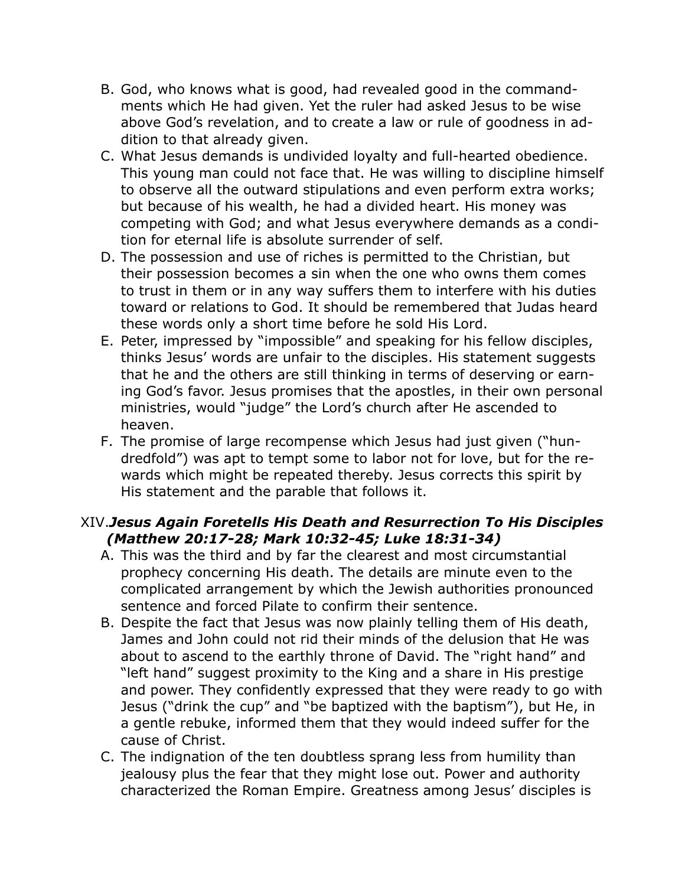- B. God, who knows what is good, had revealed good in the commandments which He had given. Yet the ruler had asked Jesus to be wise above God's revelation, and to create a law or rule of goodness in addition to that already given.
- C. What Jesus demands is undivided loyalty and full-hearted obedience. This young man could not face that. He was willing to discipline himself to observe all the outward stipulations and even perform extra works; but because of his wealth, he had a divided heart. His money was competing with God; and what Jesus everywhere demands as a condition for eternal life is absolute surrender of self.
- D. The possession and use of riches is permitted to the Christian, but their possession becomes a sin when the one who owns them comes to trust in them or in any way suffers them to interfere with his duties toward or relations to God. It should be remembered that Judas heard these words only a short time before he sold His Lord.
- E. Peter, impressed by "impossible" and speaking for his fellow disciples, thinks Jesus' words are unfair to the disciples. His statement suggests that he and the others are still thinking in terms of deserving or earning God's favor. Jesus promises that the apostles, in their own personal ministries, would "judge" the Lord's church after He ascended to heaven.
- F. The promise of large recompense which Jesus had just given ("hundredfold") was apt to tempt some to labor not for love, but for the rewards which might be repeated thereby. Jesus corrects this spirit by His statement and the parable that follows it.

## XIV.*Jesus Again Foretells His Death and Resurrection To His Disciples (Matthew 20:17-28; Mark 10:32-45; Luke 18:31-34)*

- A. This was the third and by far the clearest and most circumstantial prophecy concerning His death. The details are minute even to the complicated arrangement by which the Jewish authorities pronounced sentence and forced Pilate to confirm their sentence.
- B. Despite the fact that Jesus was now plainly telling them of His death, James and John could not rid their minds of the delusion that He was about to ascend to the earthly throne of David. The "right hand" and "left hand" suggest proximity to the King and a share in His prestige and power. They confidently expressed that they were ready to go with Jesus ("drink the cup" and "be baptized with the baptism"), but He, in a gentle rebuke, informed them that they would indeed suffer for the cause of Christ.
- C. The indignation of the ten doubtless sprang less from humility than jealousy plus the fear that they might lose out. Power and authority characterized the Roman Empire. Greatness among Jesus' disciples is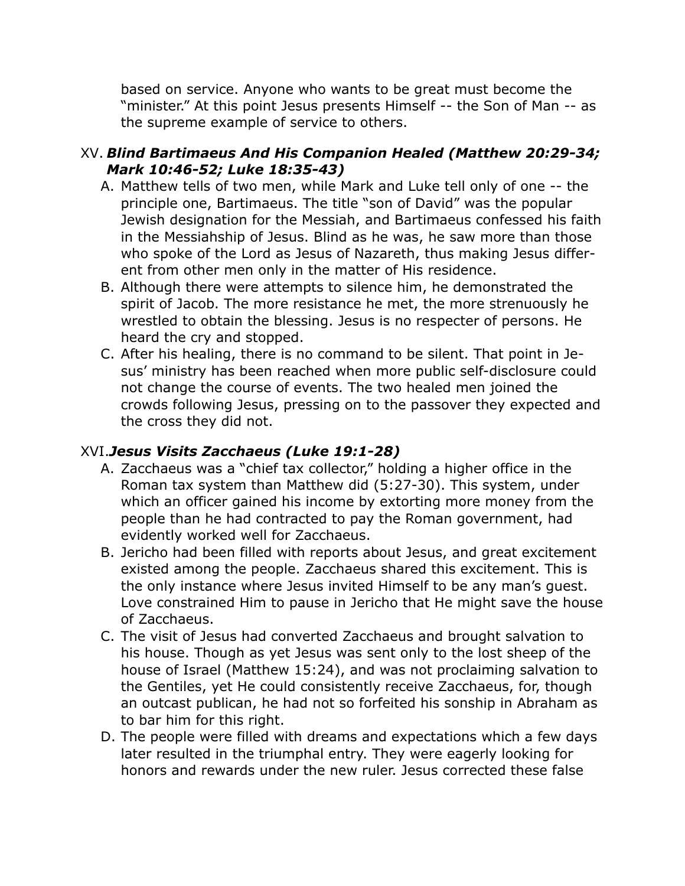based on service. Anyone who wants to be great must become the "minister." At this point Jesus presents Himself -- the Son of Man -- as the supreme example of service to others.

#### XV. *Blind Bartimaeus And His Companion Healed (Matthew 20:29-34; Mark 10:46-52; Luke 18:35-43)*

- A. Matthew tells of two men, while Mark and Luke tell only of one -- the principle one, Bartimaeus. The title "son of David" was the popular Jewish designation for the Messiah, and Bartimaeus confessed his faith in the Messiahship of Jesus. Blind as he was, he saw more than those who spoke of the Lord as Jesus of Nazareth, thus making Jesus different from other men only in the matter of His residence.
- B. Although there were attempts to silence him, he demonstrated the spirit of Jacob. The more resistance he met, the more strenuously he wrestled to obtain the blessing. Jesus is no respecter of persons. He heard the cry and stopped.
- C. After his healing, there is no command to be silent. That point in Jesus' ministry has been reached when more public self-disclosure could not change the course of events. The two healed men joined the crowds following Jesus, pressing on to the passover they expected and the cross they did not.

#### XVI.*Jesus Visits Zacchaeus (Luke 19:1-28)*

- A. Zacchaeus was a "chief tax collector," holding a higher office in the Roman tax system than Matthew did (5:27-30). This system, under which an officer gained his income by extorting more money from the people than he had contracted to pay the Roman government, had evidently worked well for Zacchaeus.
- B. Jericho had been filled with reports about Jesus, and great excitement existed among the people. Zacchaeus shared this excitement. This is the only instance where Jesus invited Himself to be any man's guest. Love constrained Him to pause in Jericho that He might save the house of Zacchaeus.
- C. The visit of Jesus had converted Zacchaeus and brought salvation to his house. Though as yet Jesus was sent only to the lost sheep of the house of Israel (Matthew 15:24), and was not proclaiming salvation to the Gentiles, yet He could consistently receive Zacchaeus, for, though an outcast publican, he had not so forfeited his sonship in Abraham as to bar him for this right.
- D. The people were filled with dreams and expectations which a few days later resulted in the triumphal entry. They were eagerly looking for honors and rewards under the new ruler. Jesus corrected these false